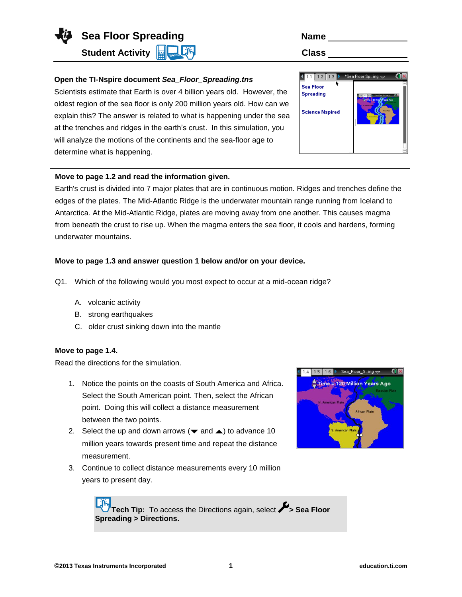**Sea Floor Spreading**  Name **Name** 

**Student Activity ELASTIC Class** 

**Spreading > Directions.**

# **Open the TI-Nspire document** *Sea\_Floor\_Spreading.tns*

Scientists estimate that Earth is over 4 billion years old. However, the oldest region of the sea floor is only 200 million years old. How can we explain this? The answer is related to what is happening under the sea at the trenches and ridges in the earth's crust. In this simulation, you will analyze the motions of the continents and the sea-floor age to determine what is happening.

## **Move to page 1.2 and read the information given.**

Earth's crust is divided into 7 major plates that are in continuous motion. Ridges and trenches define the edges of the plates. The Mid-Atlantic Ridge is the underwater mountain range running from Iceland to Antarctica. At the Mid-Atlantic Ridge, plates are moving away from one another. This causes magma from beneath the crust to rise up. When the magma enters the sea floor, it cools and hardens, forming underwater mountains.

## **Move to page 1.3 and answer question 1 below and/or on your device.**

- Q1. Which of the following would you most expect to occur at a mid-ocean ridge?
	- A. volcanic activity
	- B. strong earthquakes
	- C. older crust sinking down into the mantle

#### **Move to page 1.4.**

Read the directions for the simulation.

- 1. Notice the points on the coasts of South America and Africa. Select the South American point. Then, select the African point. Doing this will collect a distance measurement between the two points.
- 2. Select the up and down arrows ( $\blacktriangledown$  and  $\blacktriangle$ ) to advance 10 million years towards present time and repeat the distance measurement.
- 3. Continue to collect distance measurements every 10 million years to present day.







**Tech Tip:** To access the Directions again, select **> Sea Floor**